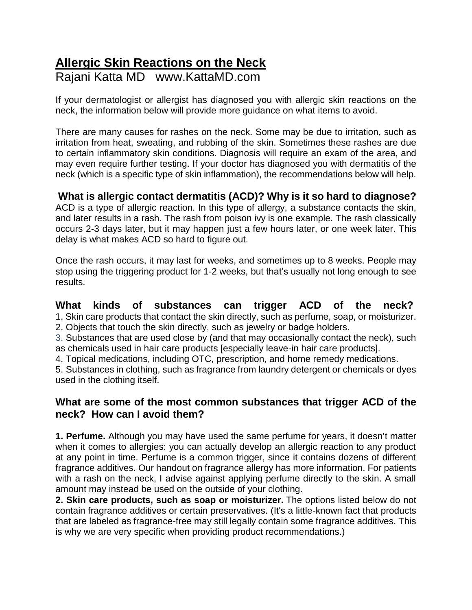# **Allergic Skin Reactions on the Neck** Rajani Katta MD www.KattaMD.com

If your dermatologist or allergist has diagnosed you with allergic skin reactions on the neck, the information below will provide more guidance on what items to avoid.

There are many causes for rashes on the neck. Some may be due to irritation, such as irritation from heat, sweating, and rubbing of the skin. Sometimes these rashes are due to certain inflammatory skin conditions. Diagnosis will require an exam of the area, and may even require further testing. If your doctor has diagnosed you with dermatitis of the neck (which is a specific type of skin inflammation), the recommendations below will help.

# **What is allergic contact dermatitis (ACD)? Why is it so hard to diagnose?**

ACD is a type of allergic reaction. In this type of allergy, a substance contacts the skin, and later results in a rash. The rash from poison ivy is one example. The rash classically occurs 2-3 days later, but it may happen just a few hours later, or one week later. This delay is what makes ACD so hard to figure out.

Once the rash occurs, it may last for weeks, and sometimes up to 8 weeks. People may stop using the triggering product for 1-2 weeks, but that's usually not long enough to see results.

## **What kinds of substances can trigger ACD of the neck?**

1. Skin care products that contact the skin directly, such as perfume, soap, or moisturizer. 2. Objects that touch the skin directly, such as jewelry or badge holders.

3. Substances that are used close by (and that may occasionally contact the neck), such as chemicals used in hair care products [especially leave-in hair care products].

4. Topical medications, including OTC, prescription, and home remedy medications.

5. Substances in clothing, such as fragrance from laundry detergent or chemicals or dyes used in the clothing itself.

# **What are some of the most common substances that trigger ACD of the neck? How can I avoid them?**

**1. Perfume.** Although you may have used the same perfume for years, it doesn't matter when it comes to allergies: you can actually develop an allergic reaction to any product at any point in time. Perfume is a common trigger, since it contains dozens of different fragrance additives. Our handout on fragrance allergy has more information. For patients with a rash on the neck, I advise against applying perfume directly to the skin. A small amount may instead be used on the outside of your clothing.

**2. Skin care products, such as soap or moisturizer.** The options listed below do not contain fragrance additives or certain preservatives. (It's a little-known fact that products that are labeled as fragrance-free may still legally contain some fragrance additives. This is why we are very specific when providing product recommendations.)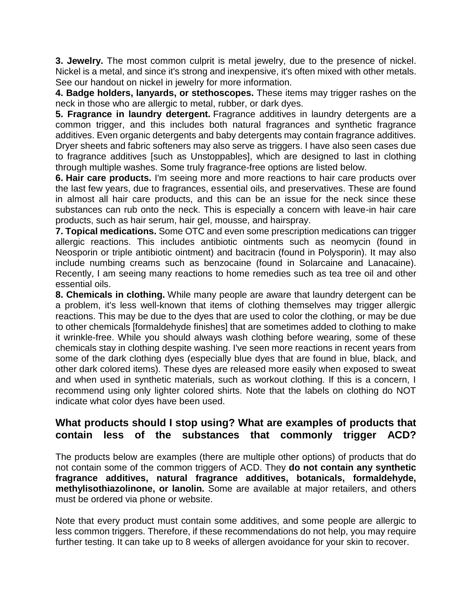**3. Jewelry.** The most common culprit is metal jewelry, due to the presence of nickel. Nickel is a metal, and since it's strong and inexpensive, it's often mixed with other metals. See our handout on nickel in jewelry for more information.

**4. Badge holders, lanyards, or stethoscopes.** These items may trigger rashes on the neck in those who are allergic to metal, rubber, or dark dyes.

**5. Fragrance in laundry detergent.** Fragrance additives in laundry detergents are a common trigger, and this includes both natural fragrances and synthetic fragrance additives. Even organic detergents and baby detergents may contain fragrance additives. Dryer sheets and fabric softeners may also serve as triggers. I have also seen cases due to fragrance additives [such as Unstoppables], which are designed to last in clothing through multiple washes. Some truly fragrance-free options are listed below.

**6. Hair care products.** I'm seeing more and more reactions to hair care products over the last few years, due to fragrances, essential oils, and preservatives. These are found in almost all hair care products, and this can be an issue for the neck since these substances can rub onto the neck. This is especially a concern with leave-in hair care products, such as hair serum, hair gel, mousse, and hairspray.

**7. Topical medications.** Some OTC and even some prescription medications can trigger allergic reactions. This includes antibiotic ointments such as neomycin (found in Neosporin or triple antibiotic ointment) and bacitracin (found in Polysporin). It may also include numbing creams such as benzocaine (found in Solarcaine and Lanacaine). Recently, I am seeing many reactions to home remedies such as tea tree oil and other essential oils.

**8. Chemicals in clothing.** While many people are aware that laundry detergent can be a problem, it's less well-known that items of clothing themselves may trigger allergic reactions. This may be due to the dyes that are used to color the clothing, or may be due to other chemicals [formaldehyde finishes] that are sometimes added to clothing to make it wrinkle-free. While you should always wash clothing before wearing, some of these chemicals stay in clothing despite washing. I've seen more reactions in recent years from some of the dark clothing dyes (especially blue dyes that are found in blue, black, and other dark colored items). These dyes are released more easily when exposed to sweat and when used in synthetic materials, such as workout clothing. If this is a concern, I recommend using only lighter colored shirts. Note that the labels on clothing do NOT indicate what color dyes have been used.

# **What products should I stop using? What are examples of products that contain less of the substances that commonly trigger ACD?**

The products below are examples (there are multiple other options) of products that do not contain some of the common triggers of ACD. They **do not contain any synthetic fragrance additives, natural fragrance additives, botanicals, formaldehyde, methylisothiazolinone, or lanolin.** Some are available at major retailers, and others must be ordered via phone or website.

Note that every product must contain some additives, and some people are allergic to less common triggers. Therefore, if these recommendations do not help, you may require further testing. It can take up to 8 weeks of allergen avoidance for your skin to recover.